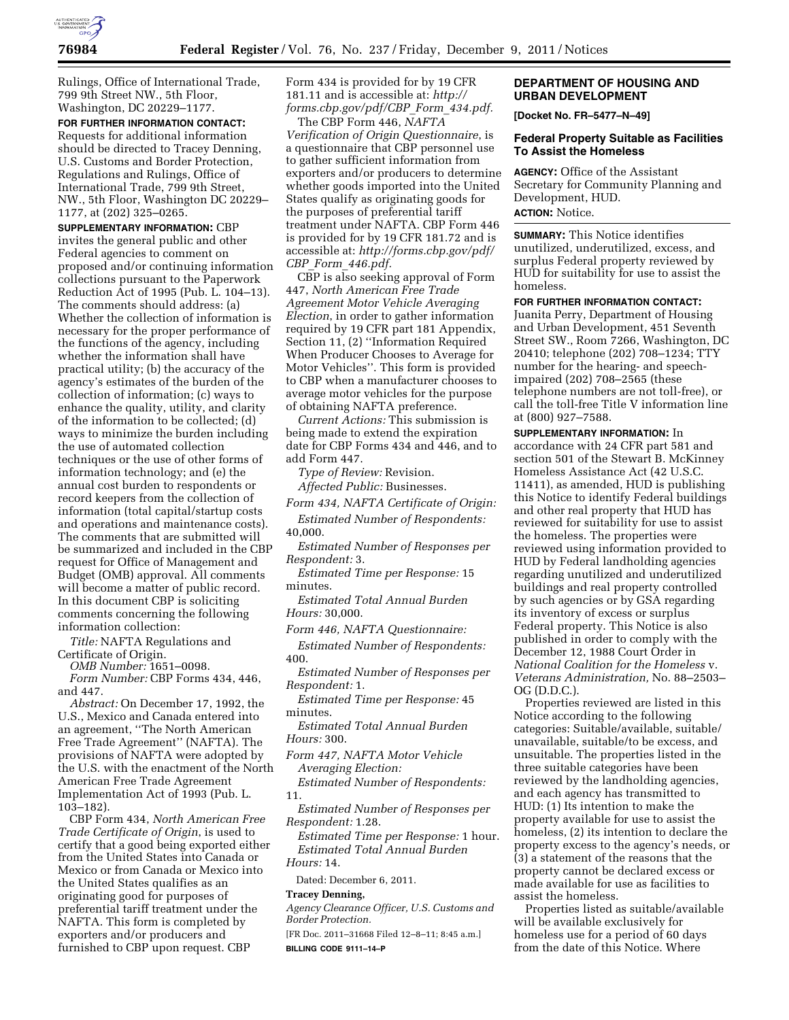

Rulings, Office of International Trade, 799 9th Street NW., 5th Floor, Washington, DC 20229–1177.

**FOR FURTHER INFORMATION CONTACT:**  Requests for additional information should be directed to Tracey Denning, U.S. Customs and Border Protection, Regulations and Rulings, Office of International Trade, 799 9th Street, NW., 5th Floor, Washington DC 20229– 1177, at (202) 325–0265.

**SUPPLEMENTARY INFORMATION:** CBP invites the general public and other Federal agencies to comment on proposed and/or continuing information collections pursuant to the Paperwork Reduction Act of 1995 (Pub. L. 104–13). The comments should address: (a) Whether the collection of information is necessary for the proper performance of the functions of the agency, including whether the information shall have practical utility; (b) the accuracy of the agency's estimates of the burden of the collection of information; (c) ways to enhance the quality, utility, and clarity of the information to be collected; (d) ways to minimize the burden including the use of automated collection techniques or the use of other forms of information technology; and (e) the annual cost burden to respondents or record keepers from the collection of information (total capital/startup costs and operations and maintenance costs). The comments that are submitted will be summarized and included in the CBP request for Office of Management and Budget (OMB) approval. All comments will become a matter of public record. In this document CBP is soliciting comments concerning the following information collection:

*Title:* NAFTA Regulations and Certificate of Origin.

*OMB Number:* 1651–0098.

*Form Number:* CBP Forms 434, 446, and 447.

*Abstract:* On December 17, 1992, the U.S., Mexico and Canada entered into an agreement, ''The North American Free Trade Agreement'' (NAFTA). The provisions of NAFTA were adopted by the U.S. with the enactment of the North American Free Trade Agreement Implementation Act of 1993 (Pub. L.  $103 - 182$ ).

CBP Form 434, *North American Free Trade Certificate of Origin*, is used to certify that a good being exported either from the United States into Canada or Mexico or from Canada or Mexico into the United States qualifies as an originating good for purposes of preferential tariff treatment under the NAFTA. This form is completed by exporters and/or producers and furnished to CBP upon request. CBP

Form 434 is provided for by 19 CFR 181.11 and is accessible at: *[http://](http://forms.cbp.gov/pdf/CBP_Form_434.pdf) [forms.cbp.gov/pdf/CBP](http://forms.cbp.gov/pdf/CBP_Form_434.pdf)*\_*Form*\_*434.pdf.* 

The CBP Form 446, *NAFTA Verification of Origin Questionnaire*, is a questionnaire that CBP personnel use to gather sufficient information from exporters and/or producers to determine whether goods imported into the United States qualify as originating goods for the purposes of preferential tariff treatment under NAFTA. CBP Form 446 is provided for by 19 CFR 181.72 and is accessible at: *[http://forms.cbp.gov/pdf/](http://forms.cbp.gov/pdf/CBP_Form_446.pdf)  CBP*\_*Form*\_*[446.pdf.](http://forms.cbp.gov/pdf/CBP_Form_446.pdf)* 

CBP is also seeking approval of Form 447, *North American Free Trade Agreement Motor Vehicle Averaging Election*, in order to gather information required by 19 CFR part 181 Appendix, Section 11, (2) ''Information Required When Producer Chooses to Average for Motor Vehicles''. This form is provided to CBP when a manufacturer chooses to average motor vehicles for the purpose of obtaining NAFTA preference.

*Current Actions:* This submission is being made to extend the expiration date for CBP Forms 434 and 446, and to add Form 447.

*Type of Review:* Revision. *Affected Public:* Businesses.

*Form 434, NAFTA Certificate of Origin:* 

*Estimated Number of Respondents:*  40,000.

*Estimated Number of Responses per Respondent:* 3.

*Estimated Time per Response:* 15 minutes.

*Estimated Total Annual Burden Hours:* 30,000.

*Form 446, NAFTA Questionnaire:* 

*Estimated Number of Respondents:*  400.

*Estimated Number of Responses per Respondent:* 1.

*Estimated Time per Response:* 45 minutes.

*Estimated Total Annual Burden Hours:* 300.

*Form 447, NAFTA Motor Vehicle Averaging Election:* 

*Estimated Number of Respondents:*  11.

*Estimated Number of Responses per Respondent:* 1.28.

*Estimated Time per Response:* 1 hour. *Estimated Total Annual Burden Hours:* 14.

Dated: December 6, 2011.

### **Tracey Denning,**

*Agency Clearance Officer, U.S. Customs and Border Protection.* 

[FR Doc. 2011–31668 Filed 12–8–11; 8:45 a.m.] **BILLING CODE 9111–14–P** 

# **DEPARTMENT OF HOUSING AND URBAN DEVELOPMENT**

**[Docket No. FR–5477–N–49]** 

## **Federal Property Suitable as Facilities To Assist the Homeless**

**AGENCY:** Office of the Assistant Secretary for Community Planning and Development, HUD.

# **ACTION:** Notice.

**SUMMARY:** This Notice identifies unutilized, underutilized, excess, and surplus Federal property reviewed by HUD for suitability for use to assist the homeless.

**FOR FURTHER INFORMATION CONTACT:** 

Juanita Perry, Department of Housing and Urban Development, 451 Seventh Street SW., Room 7266, Washington, DC 20410; telephone (202) 708–1234; TTY number for the hearing- and speechimpaired (202) 708–2565 (these telephone numbers are not toll-free), or call the toll-free Title V information line at (800) 927–7588.

**SUPPLEMENTARY INFORMATION:** In accordance with 24 CFR part 581 and section 501 of the Stewart B. McKinney Homeless Assistance Act (42 U.S.C. 11411), as amended, HUD is publishing this Notice to identify Federal buildings and other real property that HUD has reviewed for suitability for use to assist the homeless. The properties were reviewed using information provided to HUD by Federal landholding agencies regarding unutilized and underutilized buildings and real property controlled by such agencies or by GSA regarding its inventory of excess or surplus Federal property. This Notice is also published in order to comply with the December 12, 1988 Court Order in *National Coalition for the Homeless* v. *Veterans Administration,* No. 88–2503– OG (D.D.C.).

Properties reviewed are listed in this Notice according to the following categories: Suitable/available, suitable/ unavailable, suitable/to be excess, and unsuitable. The properties listed in the three suitable categories have been reviewed by the landholding agencies, and each agency has transmitted to HUD: (1) Its intention to make the property available for use to assist the homeless, (2) its intention to declare the property excess to the agency's needs, or (3) a statement of the reasons that the property cannot be declared excess or made available for use as facilities to assist the homeless.

Properties listed as suitable/available will be available exclusively for homeless use for a period of 60 days from the date of this Notice. Where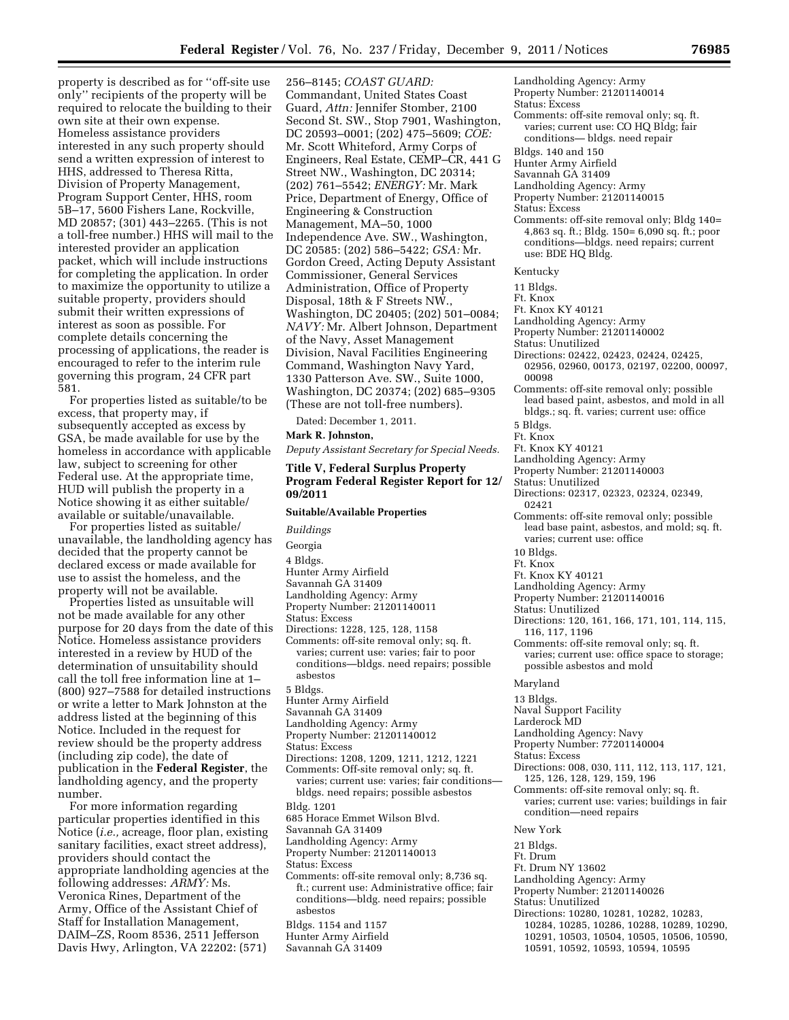property is described as for ''off-site use only'' recipients of the property will be required to relocate the building to their own site at their own expense. Homeless assistance providers interested in any such property should send a written expression of interest to HHS, addressed to Theresa Ritta, Division of Property Management, Program Support Center, HHS, room 5B–17, 5600 Fishers Lane, Rockville, MD 20857; (301) 443–2265. (This is not a toll-free number.) HHS will mail to the interested provider an application packet, which will include instructions for completing the application. In order to maximize the opportunity to utilize a suitable property, providers should submit their written expressions of interest as soon as possible. For complete details concerning the processing of applications, the reader is encouraged to refer to the interim rule governing this program, 24 CFR part 581.

For properties listed as suitable/to be excess, that property may, if subsequently accepted as excess by GSA, be made available for use by the homeless in accordance with applicable law, subject to screening for other Federal use. At the appropriate time, HUD will publish the property in a Notice showing it as either suitable/ available or suitable/unavailable.

For properties listed as suitable/ unavailable, the landholding agency has decided that the property cannot be declared excess or made available for use to assist the homeless, and the property will not be available.

Properties listed as unsuitable will not be made available for any other purpose for 20 days from the date of this Notice. Homeless assistance providers interested in a review by HUD of the determination of unsuitability should call the toll free information line at 1– (800) 927–7588 for detailed instructions or write a letter to Mark Johnston at the address listed at the beginning of this Notice. Included in the request for review should be the property address (including zip code), the date of publication in the **Federal Register**, the landholding agency, and the property number.

For more information regarding particular properties identified in this Notice (*i.e.,* acreage, floor plan, existing sanitary facilities, exact street address), providers should contact the appropriate landholding agencies at the following addresses: *ARMY:* Ms. Veronica Rines, Department of the Army, Office of the Assistant Chief of Staff for Installation Management, DAIM–ZS, Room 8536, 2511 Jefferson Davis Hwy, Arlington, VA 22202: (571)

256–8145; *COAST GUARD:*  Commandant, United States Coast Guard, *Attn:* Jennifer Stomber, 2100 Second St. SW., Stop 7901, Washington, DC 20593–0001; (202) 475–5609; *COE:*  Mr. Scott Whiteford, Army Corps of Engineers, Real Estate, CEMP–CR, 441 G Street NW., Washington, DC 20314; (202) 761–5542; *ENERGY:* Mr. Mark Price, Department of Energy, Office of Engineering & Construction Management, MA–50, 1000 Independence Ave. SW., Washington, DC 20585: (202) 586–5422; *GSA:* Mr. Gordon Creed, Acting Deputy Assistant Commissioner, General Services Administration, Office of Property Disposal, 18th & F Streets NW., Washington, DC 20405; (202) 501–0084; *NAVY:* Mr. Albert Johnson, Department of the Navy, Asset Management Division, Naval Facilities Engineering Command, Washington Navy Yard, 1330 Patterson Ave. SW., Suite 1000, Washington, DC 20374; (202) 685–9305 (These are not toll-free numbers).

Dated: December 1, 2011.

# **Mark R. Johnston,**

*Deputy Assistant Secretary for Special Needs.* 

# **Title V, Federal Surplus Property Program Federal Register Report for 12/ 09/2011**

**Suitable/Available Properties** 

*Buildings*  Georgia 4 Bldgs. Hunter Army Airfield Savannah GA 31409 Landholding Agency: Army Property Number: 21201140011 Status: Excess Directions: 1228, 125, 128, 1158 Comments: off-site removal only; sq. ft. varies; current use: varies; fair to poor conditions—bldgs. need repairs; possible asbestos 5 Bldgs. Hunter Army Airfield Savannah GA 31409 Landholding Agency: Army Property Number: 21201140012 Status: Excess Directions: 1208, 1209, 1211, 1212, 1221 Comments: Off-site removal only; sq. ft. varies; current use: varies; fair conditions bldgs. need repairs; possible asbestos Bldg. 1201 685 Horace Emmet Wilson Blvd. Savannah GA 31409 Landholding Agency: Army Property Number: 21201140013 Status: Excess Comments: off-site removal only; 8,736 sq. ft.; current use: Administrative office; fair conditions—bldg. need repairs; possible asbestos Bldgs. 1154 and 1157 Hunter Army Airfield

Savannah GA 31409

- Landholding Agency: Army Property Number: 21201140014 Status: Excess Comments: off-site removal only; sq. ft. varies; current use: CO HQ Bldg; fair conditions— bldgs. need repair Bldgs. 140 and 150 Hunter Army Airfield Savannah GA 31409 Landholding Agency: Army Property Number: 21201140015 Status: Excess Comments: off-site removal only; Bldg 140= 4,863 sq. ft.; Bldg. 150= 6,090 sq. ft.; poor conditions—bldgs. need repairs; current use: BDE HQ Bldg. Kentucky 11 Bldgs. Ft. Knox Ft. Knox KY 40121 Landholding Agency: Army Property Number: 21201140002 Status: Unutilized Directions: 02422, 02423, 02424, 02425, 02956, 02960, 00173, 02197, 02200, 00097, 00098 Comments: off-site removal only; possible lead based paint, asbestos, and mold in all bldgs.; sq. ft. varies; current use: office 5 Bldgs. Ft. Knox Ft. Knox KY 40121 Landholding Agency: Army Property Number: 21201140003 Status: Unutilized Directions: 02317, 02323, 02324, 02349, 02421 Comments: off-site removal only; possible lead base paint, asbestos, and mold; sq. ft. varies; current use: office 10 Bldgs. Ft. Knox Ft. Knox KY 40121 Landholding Agency: Army Property Number: 21201140016 Status: Unutilized Directions: 120, 161, 166, 171, 101, 114, 115, 116, 117, 1196 Comments: off-site removal only; sq. ft. varies; current use: office space to storage; possible asbestos and mold Maryland 13 Bldgs. Naval Support Facility
- Larderock MD
- Landholding Agency: Navy
- Property Number: 77201140004
- Status: Excess
- 
- Directions: 008, 030, 111, 112, 113, 117, 121, 125, 126, 128, 129, 159, 196
- Comments: off-site removal only; sq. ft.
- varies; current use: varies; buildings in fair condition—need repairs
- New York
- 21 Bldgs.
- Ft. Drum
- Ft. Drum NY 13602
- Landholding Agency: Army
- Property Number: 21201140026
- Status: Unutilized
- Directions: 10280, 10281, 10282, 10283, 10284, 10285, 10286, 10288, 10289, 10290, 10291, 10503, 10504, 10505, 10506, 10590,
	- 10591, 10592, 10593, 10594, 10595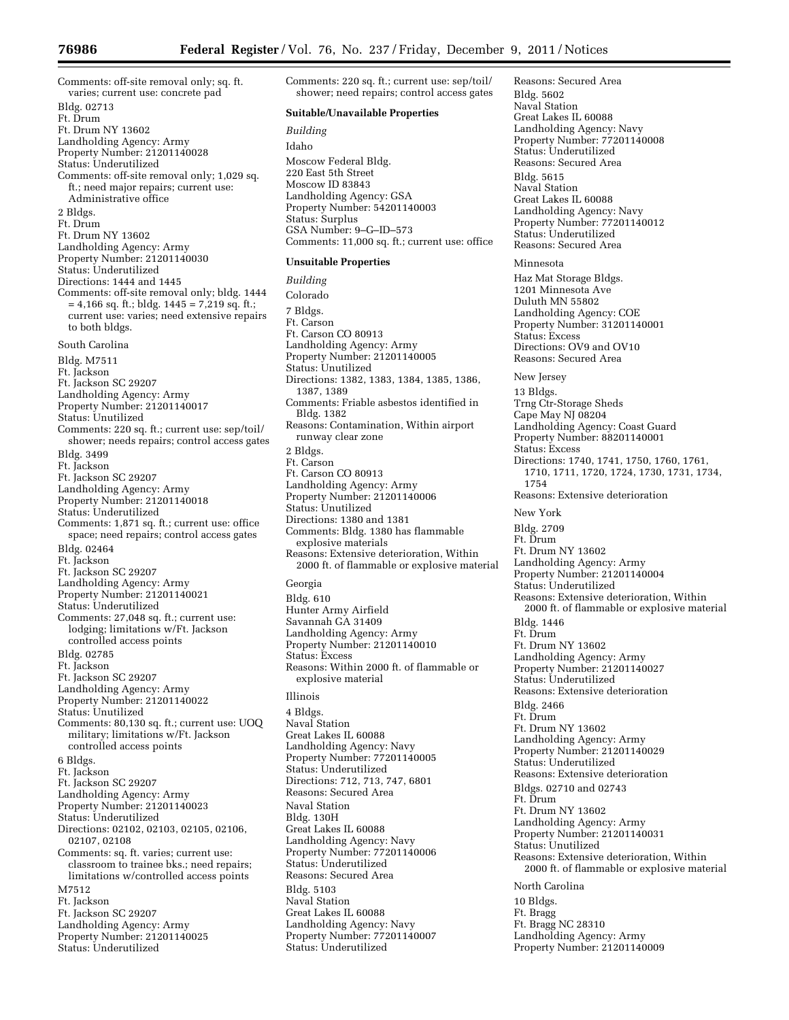Comments: off-site removal only; sq. ft. varies; current use: concrete pad Bldg. 02713 Ft. Drum Ft. Drum NY 13602 Landholding Agency: Army Property Number: 21201140028 Status: Underutilized Comments: off-site removal only; 1,029 sq. ft.; need major repairs; current use: Administrative office 2 Bldgs. Ft. Drum Ft. Drum NY 13602 Landholding Agency: Army Property Number: 21201140030 Status: Underutilized Directions: 1444 and 1445 Comments: off-site removal only; bldg. 1444 = 4,166 sq. ft.; bldg. 1445 = 7,219 sq. ft.; current use: varies; need extensive repairs to both bldgs. South Carolina Bldg. M7511 Ft. Jackson Ft. Jackson SC 29207 Landholding Agency: Army Property Number: 21201140017 Status: Unutilized Comments: 220 sq. ft.; current use: sep/toil/ shower; needs repairs; control access gates Bldg. 3499 Ft. Jackson Ft. Jackson SC 29207 Landholding Agency: Army Property Number: 21201140018 Status: Underutilized Comments: 1,871 sq. ft.; current use: office space; need repairs; control access gates Bldg. 02464 Ft. Jackson Ft. Jackson SC 29207 Landholding Agency: Army Property Number: 21201140021 Status: Underutilized Comments: 27,048 sq. ft.; current use: lodging; limitations w/Ft. Jackson controlled access points Bldg. 02785 Ft. Jackson Ft. Jackson SC 29207 Landholding Agency: Army Property Number: 21201140022 Status: Unutilized Comments: 80,130 sq. ft.; current use: UOQ military; limitations w/Ft. Jackson controlled access points 6 Bldgs. Ft. Jackson Ft. Jackson SC 29207 Landholding Agency: Army Property Number: 21201140023 Status: Underutilized Directions: 02102, 02103, 02105, 02106, 02107, 02108 Comments: sq. ft. varies; current use: classroom to trainee bks.; need repairs; limitations w/controlled access points M7512 Ft. Jackson Ft. Jackson SC 29207 Landholding Agency: Army Property Number: 21201140025 Status: Underutilized

Comments: 220 sq. ft.; current use: sep/toil/ shower; need repairs; control access gates **Suitable/Unavailable Properties**  *Building*  Idaho Moscow Federal Bldg. 220 East 5th Street Moscow ID 83843 Landholding Agency: GSA Property Number: 54201140003 Status: Surplus GSA Number: 9–G–ID–573 Comments: 11,000 sq. ft.; current use: office **Unsuitable Properties**  *Building*  Colorado 7 Bldgs. Ft. Carson Ft. Carson CO 80913 Landholding Agency: Army Property Number: 21201140005 Status: Unutilized Directions: 1382, 1383, 1384, 1385, 1386, 1387, 1389 Comments: Friable asbestos identified in Bldg. 1382 Reasons: Contamination, Within airport runway clear zone 2 Bldgs. Ft. Carson Ft. Carson CO 80913 Landholding Agency: Army Property Number: 21201140006 Status: Unutilized Directions: 1380 and 1381 Comments: Bldg. 1380 has flammable explosive materials Reasons: Extensive deterioration, Within 2000 ft. of flammable or explosive material Georgia Bldg. 610 Hunter Army Airfield Savannah GA 31409 Landholding Agency: Army Property Number: 21201140010 Status: Excess Reasons: Within 2000 ft. of flammable or explosive material Illinois 4 Bldgs. Naval Station Great Lakes IL 60088 Landholding Agency: Navy Property Number: 77201140005 Status: Underutilized Directions: 712, 713, 747, 6801 Reasons: Secured Area Naval Station Bldg. 130H Great Lakes IL 60088 Landholding Agency: Navy Property Number: 77201140006 Status: Underutilized Reasons: Secured Area Bldg. 5103 Naval Station Great Lakes IL 60088 Landholding Agency: Navy Property Number: 77201140007 Status: Underutilized

Bldg. 5602 Naval Station Great Lakes IL 60088 Landholding Agency: Navy Property Number: 77201140008 Status: Underutilized Reasons: Secured Area Bldg. 5615 Naval Station Great Lakes IL 60088 Landholding Agency: Navy Property Number: 77201140012 Status: Underutilized Reasons: Secured Area Minnesota Haz Mat Storage Bldgs. 1201 Minnesota Ave Duluth MN 55802 Landholding Agency: COE Property Number: 31201140001 Status: Excess Directions: OV9 and OV10 Reasons: Secured Area New Jersey 13 Bldgs. Trng Ctr-Storage Sheds Cape May NJ 08204 Landholding Agency: Coast Guard Property Number: 88201140001 Status: Excess Directions: 1740, 1741, 1750, 1760, 1761, 1710, 1711, 1720, 1724, 1730, 1731, 1734, 1754 Reasons: Extensive deterioration New York Bldg. 2709 Ft. Drum Ft. Drum NY 13602 Landholding Agency: Army Property Number: 21201140004 Status: Underutilized Reasons: Extensive deterioration, Within 2000 ft. of flammable or explosive material Bldg. 1446 Ft. Drum Ft. Drum NY 13602 Landholding Agency: Army Property Number: 21201140027 Status: Underutilized Reasons: Extensive deterioration Bldg. 2466 Ft. Drum Ft. Drum NY 13602 Landholding Agency: Army Property Number: 21201140029 Status: Underutilized Reasons: Extensive deterioration Bldgs. 02710 and 02743 Ft. Drum Ft. Drum NY 13602 Landholding Agency: Army Property Number: 21201140031 Status: Unutilized Reasons: Extensive deterioration, Within 2000 ft. of flammable or explosive material North Carolina 10 Bldgs. Ft. Bragg Ft. Bragg NC 28310 Landholding Agency: Army Property Number: 21201140009

Reasons: Secured Area